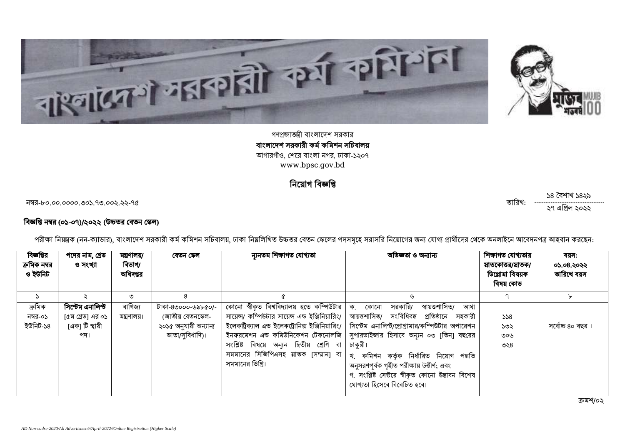



গণপ্রজাতন্ত্রী বাংলাদেশ সরকার বাংলাদেশ সরকারী কর্ম কমিশন সচিবালয় আগারগাঁও, শেরে বাংলা নগর, ঢাকা-১২০৭ [www.bpsc.gov.bd](http://www.bpsc.gov.bd/)

 $\mathsf f$ 

-৮০.০০.০০০০.৩০১.৭৩.০০২.২২-৭৫ :

#### বিজ্ঞপ্তি নম্বর (০১-০৭)/২০২২ (উচ্চতর বেতন স্কেল)

|  | পরীক্ষা নিয়ন্ত্রক (নন-ক্যাডার), বাংলাদেশ সরকারী কর্ম কমিশন সচিবালয়, ঢাকা নিয়লিখিত উচ্চতর বেতন কেলের পদসমূহে সরাসরি নিয়োগের জন্য যোগ্য প্রার্থীদের থেকে অনলাইনে আবেদনপত্র আহবান করছেন: |  |
|--|-------------------------------------------------------------------------------------------------------------------------------------------------------------------------------------------|--|
|  |                                                                                                                                                                                           |  |

| বিজ্ঞপ্তির<br>ক্রমিক নম্বর<br>ও ইউনিট | পদের নাম, গ্রেড<br>ও সংখ্যা                                    | মন্ত্ৰণালয়/<br>বিভাগ/<br>অধিদপ্তর | বেতন স্কেল                                                                            | ন্যুনতম শিক্ষাগত যোগ্যতা                                                                                                                                    | অভিজ্ঞতা ও অন্যান্য                                                                                                                                                                                                                                                                                                                                                                                                                                                                                                   | শিক্ষাগত যোগ্যতার<br>য়াতকোত্তর/য়াতক/<br>ডিপ্লোমা বিষয়ক<br>বিষয় কোড | বয়স:<br>০১.০৪.২০২২<br>তারিখে বয়স |
|---------------------------------------|----------------------------------------------------------------|------------------------------------|---------------------------------------------------------------------------------------|-------------------------------------------------------------------------------------------------------------------------------------------------------------|-----------------------------------------------------------------------------------------------------------------------------------------------------------------------------------------------------------------------------------------------------------------------------------------------------------------------------------------------------------------------------------------------------------------------------------------------------------------------------------------------------------------------|------------------------------------------------------------------------|------------------------------------|
| $\mathcal{L}$                         |                                                                | ৩                                  | 8                                                                                     | a                                                                                                                                                           | 山                                                                                                                                                                                                                                                                                                                                                                                                                                                                                                                     |                                                                        | ৮                                  |
| ক্ৰমিক<br>নম্বর-০১<br>ইউনিট-১৪        | সিষ্টেম এনালিস্ট<br>[৫ম গ্রেড] এর ০১<br>।একা টি স্থায়ী<br>পদ। | বাণিজ্য<br>মন্ত্রণালয়।            | টাকা-৪৩০০০-৬৯৮৫০/-<br>(জাতীয় বেতনস্কেল-<br>২০১৫ অনুযায়ী অন্যান্য<br>ভাতা/সুবিধাদি)। | কোনো স্বীকৃত বিশ্ববিদ্যালয় হতে কম্পিউটার   ক. কোনো<br>সংশ্লিষ্ট বিষয়ে অন্যন দ্বিতীয় শ্ৰেণি বা<br>সমমানের সিজিপিএসহ স্নাতক [সম্মান] বা<br>সমমানের ডিগ্রি। | স্বায়ত্তশাসিত/<br>আধা<br>সরকারি/<br>সায়েন্স/ কম্পিউটার সায়েন্স এন্ড ইঞ্জিনিয়ারিং/   স্বায়ত্তশাসিত/   সংবিধিবদ্ধ   প্রতিষ্ঠানে   সহকারী<br>ইলেকট্রিক্যাল এন্ড ইলেকট্রোনিক্স ইঞ্জিনিয়ারিং/   সিস্টেম এনালিস্ট্যপ্রোগ্রামার/কম্পিউটার অপারেশন<br>ইনফরমেশন এন্ড কমিউনিকেশন টেকনোলজি   সুপারভাইজার হিসাবে অন্যন ০৩ [তিন] বছরের<br>চাকুরী।<br>খ. কমিশন কৰ্তৃক নিৰ্ধারিত নিয়োগ পদ্ধতি<br>অনুসরণপূর্বক গৃহীত পরীক্ষায় উত্তীর্ণ; এবং<br>গ. সংশ্লিষ্ট সেক্টরে স্বীকৃত কোনো উদ্ভাবন বিশেষ<br>যোগ্যতা হিসেবে বিবেচিত হবে। | 558<br>১৩২<br>৩০৬<br>৩২৪                                               | সৰ্বোচ্চ ৪০ বছর ।                  |

১৪ বৈশাখ ১৪২৯ ২৭ ২০২২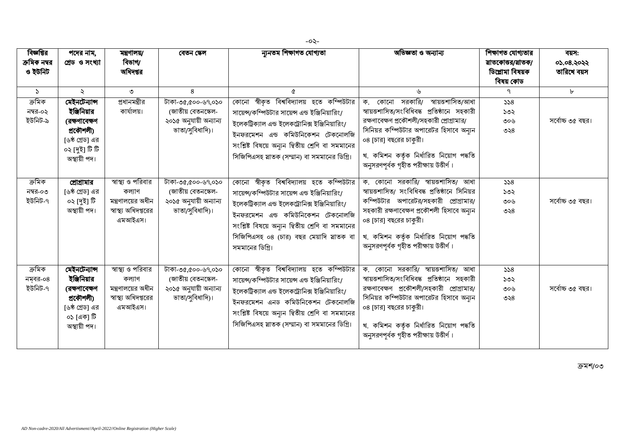| বিজ্ঞপ্তির<br>ক্রমিক নম্বর<br>ও ইউনিট | পদের নাম,<br>গ্ৰেড ও সংখ্যা                                                                                     | মন্ত্ৰণালয়/<br>বিভাগ/<br>অধিদপ্তর                                                    | বেতন স্কেল                                                                            | ন্যুনতম শিক্ষাগত যোগ্যতা                                                                                                                                                                                                                                                                                 | অভিজ্ঞতা ও অন্যান্য                                                                                                                                                                                                                                                                            | শিক্ষাগত যোগ্যতার<br>য়াতকোত্তর/য়াতক/<br>ডিপ্লোমা বিষয়ক<br>বিষয় কোড | বয়স:<br>05.08.2022<br>তারিখে বয়স |
|---------------------------------------|-----------------------------------------------------------------------------------------------------------------|---------------------------------------------------------------------------------------|---------------------------------------------------------------------------------------|----------------------------------------------------------------------------------------------------------------------------------------------------------------------------------------------------------------------------------------------------------------------------------------------------------|------------------------------------------------------------------------------------------------------------------------------------------------------------------------------------------------------------------------------------------------------------------------------------------------|------------------------------------------------------------------------|------------------------------------|
| $\mathcal{L}$                         | $\ddot{\mathcal{L}}$                                                                                            | ৩                                                                                     | 8                                                                                     | Q                                                                                                                                                                                                                                                                                                        | ৬                                                                                                                                                                                                                                                                                              |                                                                        | $\mathbf{b}$                       |
| ক্ৰমিক<br>নম্বর-০২<br>ইউনিট-৯         | মেইনটেন্যান্স<br>ইঞ্জিনিয়ার<br>(রক্ষণাবেক্ষণ<br>প্ৰকৌশলী)<br>[৬ষ্ঠ গ্রেড] এর<br>০২ [দুই] টি টি<br>অস্থায়ী পদ। | প্রধানমন্ত্রীর<br>কাৰ্যালয়।                                                          | টাকা-৩৫,৫০০-৬৭,০১০<br>(জাতীয় বেতনস্কেল-<br>২০১৫ অনুযায়ী অন্যান্য<br>ভাতা/সুবিধাদি)। | কোনো স্বীকৃত বিশ্ববিদ্যালয় হতে কম্পিউটার<br>সায়েন্স/কম্পিউটার সায়েন্স এন্ড ইঞ্জিনিয়ারিং/<br>ইলেকট্রিক্যাল এন্ড ইলেকট্রোনিক্স ইঞ্জিনিয়ারিং/<br>ইনফরমেশন এন্ড কমিউনিকেশন টেকনোলজি<br>সংশ্লিষ্ট বিষয়ে অন্যন দ্বিতীয় শ্রেণি বা সমমানের<br>সিজিপিএসহ স্নাতক (সম্মান) বা সমমানের ডিগ্রি।                | সরকারি/<br>স্বায়ত্তশাসিত/আধা<br>ক. কোনো<br>স্বায়ত্তশাসিত/সংবিধিবদ্ধ প্ৰতিষ্ঠানে সহকারী<br>রক্ষণাবেক্ষণ প্রকৌশলী/সহকারী প্রোগ্রামার/<br>সিনিয়র কম্পিউটার অপারেটর হিসাবে অন্যন<br>০৪ [চার] বছরের চাকুরী।<br>খ. কমিশন কর্তৃক নির্ধারিত নিয়োগ পদ্ধতি<br>অনুসরণপূর্বক গৃহীত পরীক্ষায় উত্তীর্ণ। | 558<br>১৩২<br>৩০৬<br>৩২ $8$                                            | সৰ্বোচ্চ ৩৫ বছর।                   |
| ক্ৰমিক<br>নম্বর-০৩<br>ইউনিট-৭         | প্রোগ্রামার<br>[৬ষ্ঠ গ্রেড] এর<br>০২ [দুই] টি<br>অস্থায়ী পদ।                                                   | স্বাস্থ্য ও পরিবার<br>কল্যাণ<br>মন্ত্রণালয়ের অধীন<br>স্বাস্থ্য অধিদপ্তরের<br>এমআইএস। | টাকা-৩৫,৫০০-৬৭,০১০<br>(জাতীয় বেতনস্কেল-<br>২০১৫ অনুযায়ী অন্যান্য<br>ভাতা/সুবিধাদি)। | কোনো স্বীকৃত বিশ্ববিদ্যালয় হতে কম্পিউটার<br>সায়েন্স/কম্পিউটার সায়েন্স এন্ড ইঞ্জিনিয়ারিং/<br>ইলেকট্রিক্যাল এন্ড ইলেকট্রোনিক্স ইঞ্জিনিয়ারিং/<br>ইনফরমেশন এন্ড কমিউনিকেশন টেকনোলজি<br>সংশ্লিষ্ট বিষয়ে অন্যন দ্বিতীয় শ্রেণি বা সমমানের<br>সিজিপিএসহ ০৪ (চার) বছর মেয়াদি স্নাতক বা<br>সমমানের ডিগ্রি। | ক. কোনো সরকারি/ স্বায়ত্তশাসিত/ আধা<br>স্বায়ত্তশাসিত/ সংবিধিবদ্ধ প্রতিষ্ঠানে সিনিয়র<br>কম্পিউটার অপারেটর/সহকারী প্রোগ্রামার/<br>সহকারী রক্ষণাবেক্ষণ প্রকৌশলী হিসাবে অন্যন<br>০৪ [চার] বছরের চাকুরী।<br>খ. কমিশন কর্তৃক নির্ধারিত নিয়োগ পদ্ধতি<br>অনুসরণপূর্বক গৃহীত পরীক্ষায় উত্তীর্ণ।     | 558<br>১৩২<br>৩০৬<br>৩২ $8$                                            | সৰ্বোচ্চ ৩৫ বছর।                   |
| ক্ৰমিক<br>নম্বর-০৪<br>ইউনিট-৭         | মেইনটেন্যান্স<br>ইঞ্জিনিয়ার<br>(রক্ষণাবেক্ষণ<br>প্ৰকৌশলী)<br>[৬ষ্ঠ গ্রেড] এর<br>০১।একা টি<br>অস্থায়ী পদ।      | স্বাস্থ্য ও পরিবার<br>কল্যাণ<br>মন্ত্রণালয়ের অধীন<br>স্বাস্থ্য অধিদপ্তরের<br>এমআইএস। | টাকা-৩৫,৫০০-৬৭,০১০<br>(জাতীয় বেতনস্কেল-<br>২০১৫ অনুযায়ী অন্যান্য<br>ভাতা/সুবিধাদি)। | কোনো স্বীকৃত বিশ্ববিদ্যালয় হতে কম্পিউটার<br>সায়েন্স/কম্পিউটার সায়েন্স এন্ড ইঞ্জিনিয়ারিং/<br>ইলেকট্রিক্যাল এন্ড ইলেকট্রোনিক্স ইঞ্জিনিয়ারিং/<br>ইনফরমেশন এনড কমিউনিকেশন টেকনোলজি<br>সংশ্লিষ্ট বিষয়ে অন্যন দ্বিতীয় শ্রেণি বা সমমানের<br>সিজিপিএসহ স্নাতক (সম্মান) বা সমমানের ডিগ্রি।                 | ক. কোনো সরকারি/ স্বায়ত্তশাসিত/ আধা<br>স্বায়ত্তশাসিত/সংবিধিবদ্ধ প্ৰতিষ্ঠানে সহকারী<br>রক্ষণাবেক্ষণ প্রকৌশলী/সহকারী প্রোগ্রামার/<br>সিনিয়র কম্পিউটার অপারেটর হিসাবে অন্যন<br>০৪ [চার] বছরের চাকুরী।<br>খ. কমিশন কর্তৃক নির্ধারিত নিয়োগ পদ্ধতি<br>অনুসরণপূর্বক গৃহীত পরীক্ষায় উত্তীর্ণ।      | 558<br>১৩২<br>৩০৬<br>৩২৪                                               | সৰ্বোচ্চ ৩৫ বছর।                   |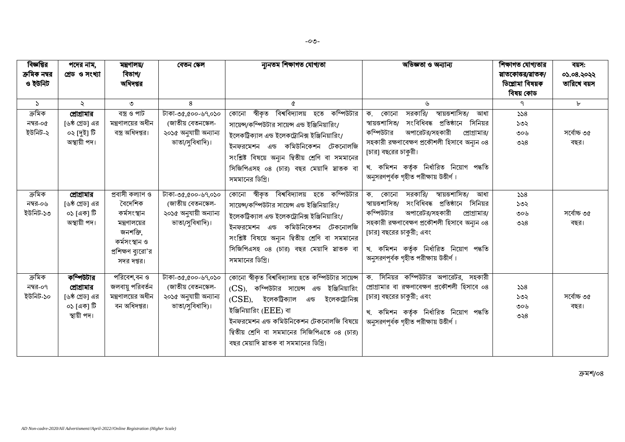| বিজ্ঞপ্তির<br>ক্রমিক নম্বর<br>ও ইউনিট | পদের নাম,<br>গ্ৰেড ও সংখ্যা                                             | মন্ত্ৰণালয়/<br>বিভাগ/<br>অধিদপ্তর                                                                                          | বেতন স্কেল                                                                            | ন্যনতম শিক্ষাগত যোগ্যতা                                                                                                                                                                                                                                                                                            | অভিজ্ঞতা ও অন্যান্য                                                                                                                                                                                                                                                                                                 | শিক্ষাগত যোগ্যতার<br>য়াতকোত্তর/য়াতক/<br>ডিপ্লোমা বিষয়ক<br>বিষয় কোড | বয়স:<br>05.08.2022<br>তারিখে বয়স |
|---------------------------------------|-------------------------------------------------------------------------|-----------------------------------------------------------------------------------------------------------------------------|---------------------------------------------------------------------------------------|--------------------------------------------------------------------------------------------------------------------------------------------------------------------------------------------------------------------------------------------------------------------------------------------------------------------|---------------------------------------------------------------------------------------------------------------------------------------------------------------------------------------------------------------------------------------------------------------------------------------------------------------------|------------------------------------------------------------------------|------------------------------------|
| $\mathcal{L}$                         | $\ddot{\sim}$                                                           | ৩                                                                                                                           | 8                                                                                     | Q                                                                                                                                                                                                                                                                                                                  | ৬                                                                                                                                                                                                                                                                                                                   | ٩                                                                      | $\mathbf{b}$                       |
| ক্ৰমিক<br>নম্বর-০৫<br>ইউনিট-২         | প্রোগ্রামার<br>[৬ষ্ঠ গ্রেড] এর<br>০২ [দুই] টি<br>অস্থায়ী পদ।           | বস্ত্ৰ ও পাট<br>মন্ত্রণালয়ের অধীন<br>বস্ত্র অধিদপ্তর।                                                                      | টাকা-৩৫,৫০০-৬৭,০১০<br>(জাতীয় বেতনস্কেল-<br>২০১৫ অনুযায়ী অন্যান্য<br>ভাতা/সুবিধাদি)। | বিশ্ববিদ্যালয় হতে কম্পিউটার<br>স্বীকৃত<br>কোনো<br>সায়েন্স/কম্পিউটার সায়েন্স এন্ড ইঞ্জিনিয়ারিং/<br>ইলেকট্রিক্যাল এন্ড ইলেকট্রোনিক্স ইঞ্জিনিয়ারিং/<br>এন্ড কমিউনিকেশন টেকনোলজি<br>ইনফরমেশন<br>সংশ্লিষ্ট বিষয়ে অন্যন দ্বিতীয় শ্রেণি বা সমমানের<br>সিজিপিএসহ ০৪ (চার) বছর মেয়াদি স্নাতক বা<br>সমমানের ডিগ্রি।  | সরকারি/<br>স্বায়ত্তশাসিত/<br>ক.<br>কোনো<br>আধা<br>স্বায়ত্তশাসিত/<br>সংবিধিবদ্ধ প্ৰতিষ্ঠানে<br>সিনিয়র<br>কম্পিউটার<br>অপারেটর/সহকারী<br>প্রোগ্রামার/<br>সহকারী রক্ষণাবেক্ষণ প্রকৌশলী হিসাবে অন্যন ০৪<br>[চার] বছরের চাকুরী।<br>খ. কমিশন কৰ্তৃক নিৰ্ধারিত নিয়োগ পদ্ধতি<br>অনুসরণপূর্বক গৃহীত পরীক্ষায় উত্তীর্ণ।  | 558<br>১৩২<br>৩০৬<br>৩২৪                                               | সৰ্বোচ্চ ৩৫<br>বছর।                |
| ক্ৰমিক<br>নম্বর-০৬<br>ইউনিট-১৩        | প্রোগ্রামার<br>[৬ষ্ঠ গ্রেড] এর<br>০১।একা টি<br>অস্থায়ী পদ।             | প্ৰবাসী কল্যাণ ও<br>বৈদেশিক<br>কৰ্মসংস্থান<br>মন্ত্রণালয়ের<br>জনশক্তি.<br>কৰ্মসংস্থান ও<br>প্রশিক্ষণ ব্যরো'র<br>সদর দপ্তর। | টাকা-৩৫,৫০০-৬৭,০১০<br>(জাতীয় বেতনস্কেল-<br>২০১৫ অনুযায়ী অন্যান্য<br>ভাতা/সুবিধাদি)। | কোনো স্বীকৃত বিশ্ববিদ্যালয় হতে কম্পিউটার<br>সায়েন্স/কম্পিউটার সায়েন্স এন্ড ইঞ্জিনিয়ারিং/<br>ইলেকট্রিক্যাল এন্ড ইলেকট্রোনিক্স ইঞ্জিনিয়ারিং/<br>ইনফরমেশন এন্ড কমিউনিকেশন টেকনোলজি<br>সংশ্লিষ্ট বিষয়ে অন্যন দ্বিতীয় শ্রেণি বা সমমানের<br>সিজিপিএসহ ০৪ (চার) বছর মেয়াদি স্নাতক বা<br>সমমানের ডিগ্রি।           | সরকারি/<br>স্বায়ত্তশাসিত/<br>ক. কোনো<br>আধা<br>সংবিধিবদ্ধ প্ৰতিষ্ঠানে<br>স্বায়ত্তশাসিত/<br>সিনিয়র<br>কম্পিউটার<br>অপারেটর/সহকারী<br>প্রোগ্রামার/<br>সহকারী রক্ষণাবেক্ষণ প্রকৌশলী হিসাবে অন্যন ০৪<br>[চার] বছরের চাকুরী; এবং<br>খ. কমিশন কৰ্তৃক নিৰ্ধারিত নিয়োগ পদ্ধতি<br>অনুসরণপূর্বক গৃহীত পরীক্ষায় উত্তীর্ণ। | 558<br>১৩২<br>৩০৬<br>৩২৪                                               | সৰ্বোচ্চ ৩৫<br>বছর।                |
| ক্ৰমিক<br>নম্বর-০৭<br>ইউনিট-১০        | কম্পিউটার<br>প্রোগ্রামার<br>[৬ষ্ঠ গ্রেড] এর<br>০১।একা টি<br>স্থায়ী পদ। | পরিবেশ,বন ও<br>জলবায়ু পরিবর্তন<br>মন্ত্রণালয়ের অধীন<br>বন অধিদপ্তর।                                                       | টাকা-৩৫,৫০০-৬৭,০১০<br>(জাতীয় বেতনস্কেল-<br>২০১৫ অনুযায়ী অন্যান্য<br>ভাতা/সুবিধাদি)। | কোনো স্বীকৃত বিশ্ববিদ্যালয় হতে কম্পিউটার সায়েন্স<br>(CS), কম্পিউটার সায়েন্স এন্ড ইঞ্জিনিয়ারিং<br>(CSE), ইলেকট্ৰিক্যাল<br>ইলেকট্রোনিক্স<br>এন্ড<br>ইঞ্জিনিয়ারিং (EEE) বা<br>ইনফরমেশন এন্ড কমিউনিকেশন টেকনোলজি বিষয়ে<br>দ্বিতীয় শ্রেণি বা সমমানের সিজিপিএতে ০৪ (চার)<br>বছর মেয়াদি স্নাতক বা সমমানের ডিগ্রি। | ক. সিনিয়র কম্পিউটার অপারেটর, সহকারী<br>প্রোগ্রামার বা রক্ষণাবেক্ষণ প্রকৌশলী হিসাবে ০৪<br>[চার] বছরের চাকুরী; এবং<br>খ. কমিশন কৰ্তৃক নিৰ্ধারিত নিয়োগ পদ্ধতি<br>অনুসরণপূর্বক গৃহীত পরীক্ষায় উত্তীর্ণ।                                                                                                              | 558<br>১৩২<br>৩০৬<br>৩২৪                                               | সৰ্বোচ্চ ৩৫<br>বছর।                |

ক্ৰমশ/০৪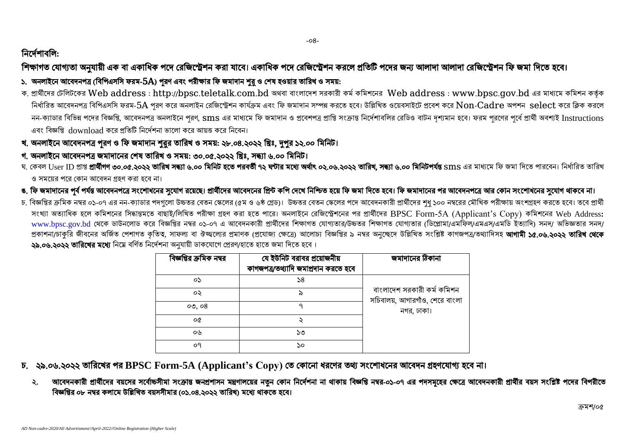## নিৰ্দেশাবলি:

# শিক্ষাগত যোগ্যতা অনুযায়ী এক বা একাধিক পদে রেজিস্ট্রেশন করা যাবে। একাধিক পদে রেজিস্ট্রেশন করলে প্রতিটি পদের জন্য আলাদা আলাদা রেজিস্ট্রেশন ফি জমা দিতে হবে।

### ১. অনলাইনে আবেদনপত্র (বিপিএসসি ফরম- $5A$ ) পুরণ এবং পরীক্ষার ফি জমাদান শুরু ও শেষ হওয়ার তারিখ ও সময়:

ক. প্ৰাৰ্থীদের টেলিটকের Web address : [http://bpsc.teletalk.com.bd](http://bpsc.teletalk.com.bd/) অথবা বাংলাদেশ সরকারী কর্ম কমিশনের Web address : [www.bpsc.gov.bd](http://www.bpsc.gov.bd/) এর মাধ্যমে কমিশন কর্তৃক নির্ধারিত আবেদনপত্র বিপিএসসি ফরম- $5A$  পুরণ করে অনলাইন রেজিস্ট্রেশন কার্যক্রম এবং ফি জমাদান সম্পন্ন করে। উল্লিখিত ওয়েবসাইটে প্রবেশ করে  $\bf Non\text{-}Cadre$  অপশন  $\text{select}$  করে ক্লিক করলে নন-ক্যাডার বিভিন্ন পদের বিজ্ঞপ্তি, আবেদনপত্র অনলাইনে পরণ, Sms এর মাধ্যমে ফি জমাদান ও প্রবেশপত্র প্রটিন রাটিও বাটন দশ্যমান হবে। ফরম পরণের পর্বে প্রার্থী অবশ্যই Instructions এবং বিজ্ঞপ্তি download কৰে পতিটি নিৰ্দেশনা ভালো কৰে আয়ত্ত কৰে নিবেন।

-০৪-

- খ. অনলাইনে আবেদনপত্র পূরণ ও ফি জমাদান শুরুর তারিখ ও সময়: ২৮.০৪.২০২২ খ্রিঃ, দুপুর ১২.০০ মিনিট।
- গ. অনলাইনে আবেদনপত্ৰ জমাদানের শেষ তারিখ ও সময়: ৩০.০৫.২০২২ খ্রিঃ, সন্ধ্যা ৬.০০ মিনিট।
- ঘ. কেবল User ID প্ৰাপ্ত **প্ৰাৰ্থীগণ ৩০.০৫.২০২২ তারিখ সন্ধ্যা ৬.০০ মিনট সংগত সংগত সংগত ২০২.০৬.২০২২ তারিখ, সন্ধ্যা ৬.০০ মিনিটপৰ্যন্ত Sms এর মাধ্যমে ফি জমা দিতে পারবেন। নির্ধারিত তারিখ** ও সময়ের পরে কোন আবেদন গ্রহণ করা হবে না।
- ঙ. ফি জমাদানের পূর্ব পর্যন্ত আবেদনপত্রে সংশোধনের সুযোগ রয়েছে। প্রার্থীদের আবেদনের নিশিত হয়ে ফি জমা দিতে হবে। ফি জমাদানের পর আবেদনপত্রে আর কোন সংশোধনের সুযোগ থাকবে না।
- চ, বিজ্ঞপ্তির ক্রমিক নম্বর ০১-০৭ এর নন-ক্যাডার পদগুলো উচ্চতর (স্কে ও ৬৯ গ্রেড)। উচ্চতর বেতন স্কেলের পদে আবেদনকারী প্রার্থীদের শধ ১০০ নম্বরের মৌখিক পরীক্ষায় অংশগ্রহণ করতে হবে। তবে প্রার্থী সংখ্যা অত্যাধিক হলে কমিশনের সিদ্ধান্তমতে বাছাই/লিখিত পরীক্ষা গ্রহণ করা হতে পারে। অনলাইনে রেজিস্ট্রেশনের BPSC Form-5A (Applicant's Copy) কমিশনের Web Address: [www.bpsc.gov.bd](http://www.bpsc.gov.bd/) থেকে ডাউনলোড করে বিজ্ঞপ্তির নম্বর ০১-০৭ এ আবেদনকারী প্রার্থীদের শিক্ষাগত যোগ্যতার পিক্ষাগত যোগ্যতার (ডিপ্লোমা/এমফিল/এমএস/এমডি ইত্যাদি) সনদ/ অভিজ্ঞতার সনদ/ প্রকাশনা/চাকুরি জীবনের অর্জিত পেশাগত কৃতিত্ব, সাফল্য বা ঔজ্জলের প্রমাণক (প্রযোজ্য সংজার ৯ নম্বর অনুচ্ছেদে উল্লিখিত সংশ্লিষ্ট কাগজপত্র/তথ্যাদিসহ **আগামী ১৫.০৬.২০২২ তারিখ থেকে** ২৯.০৬.২০২২ তারিখের মধ্যে নিম্নে বর্ণিত নির্দেশনা অনযায়ী ডাকযোগে প্রেরণ/হাতে হাতে জমা দিতে হবে।

| বিজ্ঞপ্তির ক্রমিক নম্বর | যে ইউনিট বরাবর প্রয়োজনীয়<br>কাগজপত্ৰ/তথ্যাদি জমাপ্ৰদান করতে হবে | জমাদানের ঠিকানা                                              |
|-------------------------|-------------------------------------------------------------------|--------------------------------------------------------------|
| ০১                      | $\mathcal{S}^8$                                                   |                                                              |
| ০২                      | ৯                                                                 | বাংলাদেশ সরকারী কর্ম কমিশন<br>সচিবালয়, আগারগাঁও, শেরে বাংলা |
| 00,08                   | ٩                                                                 | নগর, ঢাকা।                                                   |
| οQ                      |                                                                   |                                                              |
| ০৬                      | ১৩                                                                |                                                              |
| οq                      | ১০                                                                |                                                              |

- চ. ২৯.০৬.২০২২ তারিখের পর BPSC Form-5A (Applicant's Copy) তে কোনো ধরণের তথ্য সংশোধনের আবেদন গ্রহণযোগ্য হবে না।
	- ২. আবেদনকারী প্রার্থীদের বয়সের সর্বোচ্চসীমা সংক্রান্ত জনপ্রশাসন মন্ত্রণালয়ের নাম কারা সাকায় বিজ্ঞতি নম্বর-০১-০৭ এর পদসমূহের ক্ষেত্রে আবেদনকারী প্রার্থীর বয়স সংশ্লিষ্ট পদের বিপরীতে বিজ্ঞপ্তির ০৮ নম্বর কলামে উল্লিখিত বয়সসীমার (০১.০৪.২০২২ তারিখ) মধ্যে থাকতে হবে।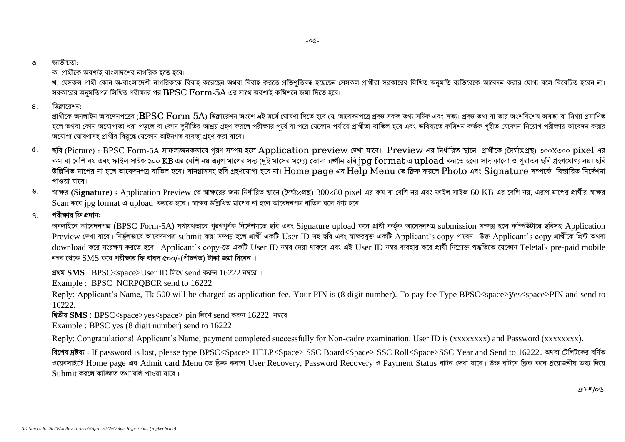#### ৩ জাতীয়তা:

ক প্রার্থীকে অবশাই বাংলাদশের নাগরিক হতে হবে।

খ. যেসকল প্রার্থী কোন অ-বাংলাদেশী নাগরিককে বিবাহ করেছেন অথবা বিবাহ করতে প্রতিবদ্ধ হয়েছেন সেসকল নিখিত ব্যব্য করা করা কলার বাগ বাজ বরে বিবেচিত হবেন না। সরকারের অনুমতিপত্র লিখিত পরীক্ষার পর  $\operatorname{BPSC}$   $\operatorname{Form{\text -}5A}$  এর সাথে অবশ্যই কমিশনে জমা দিতে হবে।

8. ডিক্লারেশন:

প্রার্থীকে অনলাইন আবদেনপত্রের (BPSC Form-5A) ডিক্লারেশন অংশে এই মর্মে ঘোষণা দিতে হবে যে. আবেদনপত্রে প্রদত অথ্য সঠিক এবং সত্য। প্রদত্ত তথ্য বা তার অংশবিশেষ অসত্য বা মিথ্যা প্রমাণিত হলে অথবা কোন অযোগ্যতা ধরা পড়লে বা কোন দুর্নীতির আশ্রয় গ্রহণ করলে পরীক্ষার পূর্বে বর্গার বারীজ বরে বাই এবং ভবিষ্যতে কমিশন কর্তক গৃহীত যেকোন নিয়োগ পরীক্ষায় আবেদন করার অযোগ্য ঘোষণাসহ প্রার্থীর বিরুদ্ধে যেকোন আইনগত ব্যবস্থা গ্রহণ করা যাবে।

- ৫. ছবি (Picture) : BPSC Form-5A সাফলজনকভাবে পূরণ সম্পন্ন হলে Application preview দেখা যাবে। Preview এর নির্ধারিত স্থানে প্রার্থীকে (দৈর্ঘ্যপ্রস্থ) ৩০০X৩০০ pixel এর কম বা বেশি নয় এবং ফাইল সাইজ ১০০ KB এর বেশি নয় এরপ মাপের সদ্য (দুই মাসের মধ্যে) তোলা রঙ্গীন ছবি ipg format এ upload করতে হবে। সাদাকালো ও পুরাতন ছবি গ্রহণযোগ্য নয়। ছবি উল্লিখিত মাপের না হলে আবেদনপত্র বাতিল হবে। সানগ্লাসসহ ছবি গ্রহণযোগ্য হবে না।  ${\rm Home}$   ${\rm page}$  এর  ${\rm He}$ l ${\rm p}$   ${\rm Men}$  তে ক্লিক করলে  ${\rm Photo}$  এবং  ${\rm Signature}$  সম্পর্কে বিস্তারিত নির্দেশনা পাওয়া যাবে।
- $6.$  *শাক্ষর* (Signature) : Application Preview তে স্বাক্ষরের জন্য নির্ধারিত স্থানে (দৈর্ঘ্য×প্রস্থ)  $300 \times 80$  pixel এর কম বা বেশি নয় এবং ফাইল সাইজ 60 KB এর বেশি নয়, এরূপ মাপের প্রার্থীর স্বাক্ষর  $Scan$  করে jpg format এ upload *করতে হবে*। স্বাক্ষর উল্লিখিত মাপের না হলে আবেদনপত্র বাতিল বলে গণ্য হবে।

#### <u>৭ পরীক্ষার ফি প্রদান:</u>

*AbjvB‡b Av‡e`bcÎ* (BPSC Form-5A) *h\_vh\_fv‡e c~iYc~e©K wb‡`©kg‡Z Qwe Ges* Signature upload *K‡i cÖv\_©x KZ©"K Av‡e`bcÎ* submission *m¤úbœ n‡j Kw¤úDUv‡i Qwemn* Application Preview দেখা যাবে। নিৰ্ভুলভাবে আবেদনপত্ৰ submit কৰা সম্পন্ন হলে প্ৰাৰ্থী একটি User ID সহ ছবি এবং স্বাক্ষরযুক্ত একটি Applicant's copy পাবেন। উক্ত Applicant's copy প্ৰাৰ্থীকে প্ৰিন্ট অথবা download করে সংরক্ষণ করতে হবে। Applicant's copy-তে একটি User ID নম্বর এবং এবং এই User ID নম্বর ব্যবহার করে প্রার্থী নিম্লোক্ত পদ্ধতিতে যেকোন Teletalk pre-paid mobile  $\overline{r}$ দম্বর থেকে SMS করে পরীক্ষার ফি বাবদ ৫০০/-(পাঁচশত) টাকা জমা দিবেন ।

<u> প্ৰথম SMS</u> : BPSC<space>User ID লিখে send করুন 16222 নম্বরে ।

Example : BPSC NCRPQBCR send to 16222

Reply: Applicant's Name, Tk-500 will be charged as application fee. Your PIN is (8 digit number). To pay fee Type BPSC<space>yes<space>PIN and send to 16222

*ছি*তীয় SMS : BPSC<space>yes<space> pin লিখে send করুন  $16222$  নম্বরে।

Example : BPSC yes (8 digit number) send to 16222

Reply: Congratulations! Applicant's Name, payment completed successfully for Non-cadre examination. User ID is (xxxxxxxxx) and Password (xxxxxxxx).

*বিশেষ দ্ৰষ্টব্য* : If password is lost, please type BPSC<Space> HELP<Space> SSC Board<Space> SSC Roll<Space>SSC Year and Send to 16222. অথবা টেলিটকের বর্ণিত ওয়েবসাইটে Home page এর Admit card Menu তে ক্লিক করলে User Recovery, Password Recovery ও Payment Status বাটন দেখা যাবে। উক্ত বাটনে ক্লিক করে প্রয়োজনীয় তথ্য দিয়ে Submit *Ki‡j Kvw•¶Z Z\_¨vewj cvIqv hv‡e|*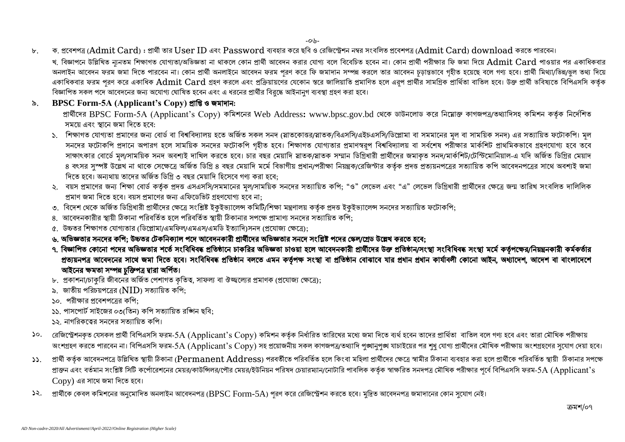$-0.4-$ 

৮. . . ক. প্ৰবেশপত্ৰ (Admit Card) : প্ৰাৰ্থী তার User ID এবং Password ব্যবহার করে ছবি ও রেজিস্ট্রেশন নম্বর সংবলিত প্রবেশপত্ৰ (Admit Card) download করতে পারবেন। খ, বিজ্ঞাপনে উল্লিখিত ন্যনতম শিক্ষাগত যোগ্যতা/অভিজ্ঞতা না থাকলে কোম প্ৰায়ী বলে বলে বিবেচিত হবেন না। কোন প্ৰাৰ্থী পরীক্ষার ফি জমা দিয়ে  $\rm{Admit ~Card~}$  পাওয়ার পর একাধিকবার অনলাইন আবেদন ফরম জমা দিতে পারবেন না। কোন প্রার্থী অনলাইনে আবেদন ফরম পরণ করে ফি জমাদান সম্পন্ন করলে চতু চরত গরাজ হয়েছে বলে গণ্য হবে। প্রার্থী মিথ্যা/ভিন্ন/ভুল তথ্য দিয়ে একাধিকবার ফরম পরণ করে একাধিক Admit Card গ্রহণ করলে এবং প্রক্রিয়ায়ণের যেকোন স্তরে জালিয়াতি প্রকাগ প্রাগ প্রাগ প্রার সামগ্রিক প্রার্থিতা বাতিল হবে। উক্ত প্রার্থী ভবিষ্যতে বিপিএসসি কর্তক বিজ্ঞাপিত সকল পদে আবেদনের জন্য অযোগ্য ঘোষিত হবেন এবং এ ধরনের প্রার্থীর বির্দ্ধে আইনানুগ ব্যবস্থা গ্রহণ করা হবে।

### ১. **BPSC Form-5A (Applicant's Copy) গ্ৰান্তি ও জ**মাদান:

প্রার্থীদের BPSC Form-5A (Applicant's Copy) কমিশনের Web Address: [www.bpsc.gov.bd](http://www.bpsc.gov.bd/) থেকে ডাউনলোড করে নিয়োক্ত কাগজপত্র/তথ্যাদিসহ কমিশন কর্তৃক নির্দেশিত সময়ে এবং স্থানে জমা দিতে হবে:

- ১. শিক্ষাগত যোগ্যতা প্ৰমাণের জন্য বোর্ড বা বিশ্ববিদ্যালয় হতে অর্জিত সকল সমত (স্নাতক/বিএসসি/এইচএসসি/ডিপ্লোমা বা সমমানের মল বা সাময়িক সনদ) এর সত্যায়িত ফটোকপি। মল সনদের ফটোকপি প্রদানে অপারগ হলে সাময়িক সনদের ফটোকপি গহীত হবে। শিক্ষাগত যোগ্যতার প্রমাণস্বরপ বিশ্ববিদ্যালয় বা সর্বশেষ পরীক্ষার মার্কশিট প্রাথমিকভাবে গ্রহণযোগ্য হবে তবে সাক্ষাৎকার বোর্ডে মল/সাময়িক সনদ অবশ্যই দাখিল করতে হবে। চার বছর মেয়াদি স্নাতক/স্নাতক সম্মার প্রারীদের জমাকত সনদ/মার্কশিট/টেস্টিমোনিয়াল-এ যদি অর্জিত ডিগ্রির মেয়াদ ৪ বৎসর সুস্পষ্ট উল্লেখ না থাকে সেক্ষেত্রে অর্জিত ডিগ্রি ৪ বছর মেয়াদি মর্মে বিধান/পরীক্ষা নিয়ন্ত্রক/রেজিস্টার কর্তৃক প্রদত্ত প্রত্যয়নপত্রের সত্যায়িত কপি আবেদনপত্রের সাথে অবশ্যই জমা দিতে হবে। অন্যথায় তাদের অর্জিত ডিগ্রি ৩ বছর মেয়াদি হিসেবে গণ্য করা হবে:
- ২. বয়স প্রমাণের জন্য শিক্ষা বোর্ড কর্তক প্রদত্ত এসএসসি/সমমানের মল/সাময়িক সনদের সত্যায়িত কপি: "ও" লেভেল এবং "এ" লেভেল ডিগ্রিধারী প্রার্থীদের ক্ষেত্রে জন্ম তারিখ সংবলিত দালিলিক প্রমাণ জমা দিতে হবে। বয়স প্রমাণের জন্য এফিডেভিট গ্রহণযোগ্য হবে না:
- ৩. বিদেশ থেকে অর্জিত ডিগ্রিধারী প্রার্থীদের ক্ষেত্রে সংশ্লিষ্ট ইকুইভ্যালেন্স কমিটি/শিক্ষা মন্ত্রগক পুরুক প্রদত্ত ইকুইভ্যালেন্স সনদের সত্যায়িত ফটোকপি;
- আবেদনকাৰীৰ স্বায়ী ঠিকানা পৰিবৰ্তিত হলে পৰিবৰ্তিত স্বায়ী ঠিকানাৰ সপক্ষে পামাণ্য সনদেৰ সত্যায়িত কপি:
- ৫. উচ্চতর শিক্ষাগত যোগ্যতার (ডিপ্লোমা/এমফিল/এমএস/এমডি ইত্যাদি)সনদ (প্রযোজ্য ক্ষেত্রে):
- ৬. অভিজ্ঞতার সনদের কপি: উচ্চতর টেকনিক্যাল পদে আবেদনকারী প্রার্থীদের অভিজ্ঞতার সনদে সংশ্লিষ্ট পদের স্কেল/গ্রেড উল্লেখ করতে হবে:
- ৭. বিজ্ঞাপিত কোনো পদের অভিজ্ঞতার শর্তে সংবিধিবদ্ধ প্রতিষ্ঠানে চাকরির অভিজ্ঞতা চাওয়া হলে আবেদনকারী প্রার্থীদের উক্ত প্রতিষ্ঠান/সংস্থা সংবিধিবদ্ধ সংস্থা মর্মে কর্তৃপক্ষের/নিয়ন্ত্রনকারী কর্মকর্তার প্রত্যয়নপত্র আবেদনের সাথে জমা দিতে হবে। সংবিধিবদ্ধ প্রতিষ্ঠান বলতে এমন কর্তৃপক্ষ সংস্থা বা প্রতিষ্ঠান বোরাবে যার প্রধান কার্যাবলী কোনো আইন, অধ্যাদেশ, আদেশ বা বাংলাদেশে আইনের ক্ষমতা সম্পন্ন চক্তিপত্র দ্বারা অর্পিত।
- ৮. প্রকাশনা/চাকরি জীবনের অর্জিত পেশাগত কৃতিত্ব, সাফল্য বা ঔজ্জল্যের প্রমাণক (প্রযোজ্য ক্ষেত্রে);
- ৯. জাতীয় পরিচয়পত্রের ( $NID$ ) সত্যায়িত কপি:
- ১০. পরীক্ষার প্রবেশপত্রের কপি:
- ১১. পাসপোর্ট সাইজের ০৩(তিন) কপি সত্যায়িত রশ্জিন ছবি:
- ১২. নাগরিকত্বের সনদের সত্যায়িত কপি।
- ১০. ়ৱজিস্ট্ৰেশনকৃত যেসকল প্ৰাৰ্থী বিপিএসসি ফরম-5A (Applicant's Copy) কমিশন কৰ্তৃক নিৰ্ধারিত তারিখের মধ্যে জমা দিতে ব্যৰ্থ হবেন তাদের প্ৰাৰ্থিতা বাতিল বলে গণ্য হবে এবং তারা মৌখিক পরীক্ষায় অংশগ্রহণ করতে পারবেন না। বিপিএসসি ফরম-5A (Applicant's Copy) সহ প্রয়োজনীয় সকল কাগজপত্র/তথ্যাদি পৃঙ্খানুপূঞ্খ যাচাইয়ের পর শুধ যোগ্য প্রার্থীদের মৌখিক পরীক্ষায় অংশগ্রহণের সুযোগ দেয়া হবে।
- ১১. প্রার্থী কর্তৃক আবেদনপত্রে উল্লিখিত স্থায়ী ঠিকানা (Permanent Address) পরবর্তীতে পরিবর্তিত হলে কিংবা মহিলা প্রারীরে করা করা হলে প্রার্থীকে পরিবর্তিত স্থায়ী *ঠি*কানার সপক্ষে প্রাক্তন এবং বর্তমান সংশ্লিষ্ট সিটি কর্পোরেশনের মেয়র/কাউপিলর/পৌর মরিষদ চেয়ারম্যান/নোটারি পাবলিক কর্তৃক স্বাক্ষরিত সনদপত্র মৌখিক পরীক্ষার পর্বে বিপিএসসি ফরম-5A (Applicant's  $\rm{Copy}$ ) এর সাথে জমা দিতে হবে।
- ১২. প্রার্থীকে কেবল কমিশনের অনুমোদিত অনলাইন আবেদনপত্র (BPSC Form-5A) পুরণ করে রেজিস্ট্রেশন করতে হবে। মুদ্রিত আবেদনপত্র জমাদানের কোন সুযোগ নেই।